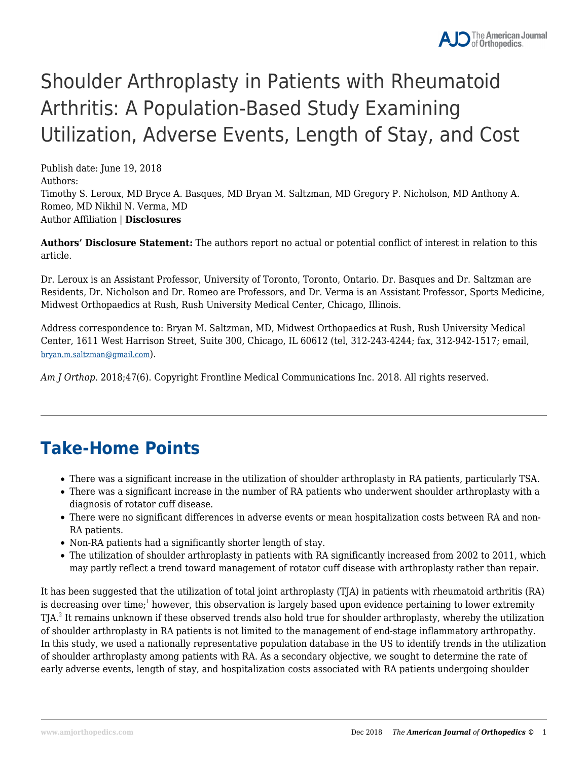# Shoulder Arthroplasty in Patients with Rheumatoid Arthritis: A Population-Based Study Examining Utilization, Adverse Events, Length of Stay, and Cost

Publish date: June 19, 2018 Authors: Timothy S. Leroux, MD Bryce A. Basques, MD Bryan M. Saltzman, MD Gregory P. Nicholson, MD Anthony A. Romeo, MD Nikhil N. Verma, MD Author Affiliation | **Disclosures**

**Authors' Disclosure Statement:** The authors report no actual or potential conflict of interest in relation to this article.

Dr. Leroux is an Assistant Professor, University of Toronto, Toronto, Ontario. Dr. Basques and Dr. Saltzman are Residents, Dr. Nicholson and Dr. Romeo are Professors, and Dr. Verma is an Assistant Professor, Sports Medicine, Midwest Orthopaedics at Rush, Rush University Medical Center, Chicago, Illinois.

Address correspondence to: Bryan M. Saltzman, MD, Midwest Orthopaedics at Rush, Rush University Medical Center, 1611 West Harrison Street, Suite 300, Chicago, IL 60612 (tel, 312-243-4244; fax, 312-942-1517; email, bryan.m.saltzman@gmail.com).

*Am J Orthop*. 2018;47(6). Copyright Frontline Medical Communications Inc. 2018. All rights reserved.

### **Take-Home Points**

- There was a significant increase in the utilization of shoulder arthroplasty in RA patients, particularly TSA.
- There was a significant increase in the number of RA patients who underwent shoulder arthroplasty with a diagnosis of rotator cuff disease.
- There were no significant differences in adverse events or mean hospitalization costs between RA and non-RA patients.
- Non-RA patients had a significantly shorter length of stay.
- The utilization of shoulder arthroplasty in patients with RA significantly increased from 2002 to 2011, which may partly reflect a trend toward management of rotator cuff disease with arthroplasty rather than repair.

It has been suggested that the utilization of total joint arthroplasty (TJA) in patients with rheumatoid arthritis (RA) is decreasing over time; $^{\rm 1}$  however, this observation is largely based upon evidence pertaining to lower extremity TJA.<sup>2</sup> It remains unknown if these observed trends also hold true for shoulder arthroplasty, whereby the utilization of shoulder arthroplasty in RA patients is not limited to the management of end-stage inflammatory arthropathy. In this study, we used a nationally representative population database in the US to identify trends in the utilization of shoulder arthroplasty among patients with RA. As a secondary objective, we sought to determine the rate of early adverse events, length of stay, and hospitalization costs associated with RA patients undergoing shoulder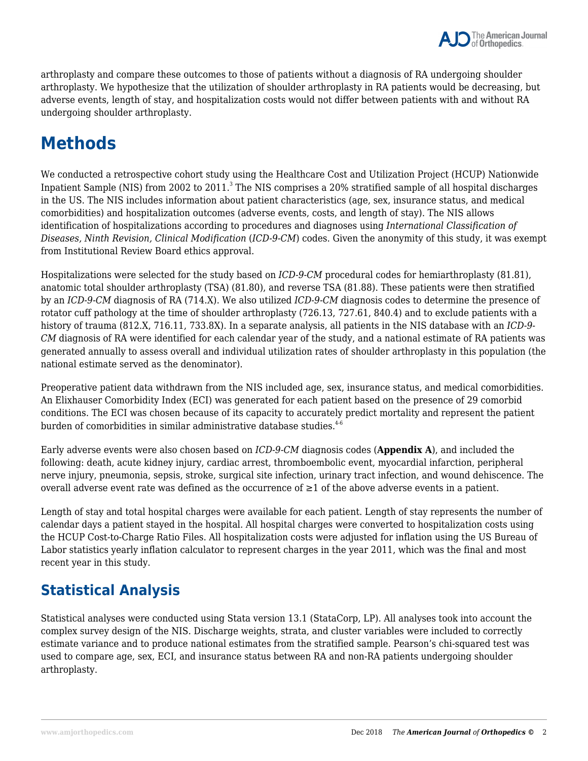arthroplasty and compare these outcomes to those of patients without a diagnosis of RA undergoing shoulder arthroplasty. We hypothesize that the utilization of shoulder arthroplasty in RA patients would be decreasing, but adverse events, length of stay, and hospitalization costs would not differ between patients with and without RA undergoing shoulder arthroplasty.

## **Methods**

We conducted a retrospective cohort study using the Healthcare Cost and Utilization Project (HCUP) Nationwide Inpatient Sample (NIS) from 2002 to 2011. $^3$  The NIS comprises a 20% stratified sample of all hospital discharges in the US. The NIS includes information about patient characteristics (age, sex, insurance status, and medical comorbidities) and hospitalization outcomes (adverse events, costs, and length of stay). The NIS allows identification of hospitalizations according to procedures and diagnoses using *International Classification of Diseases, Ninth Revision, Clinical Modification* (*ICD-9-CM*) codes. Given the anonymity of this study, it was exempt from Institutional Review Board ethics approval.

Hospitalizations were selected for the study based on *ICD-9-CM* procedural codes for hemiarthroplasty (81.81), anatomic total shoulder arthroplasty (TSA) (81.80), and reverse TSA (81.88). These patients were then stratified by an *ICD-9-CM* diagnosis of RA (714.X). We also utilized *ICD-9-CM* diagnosis codes to determine the presence of rotator cuff pathology at the time of shoulder arthroplasty (726.13, 727.61, 840.4) and to exclude patients with a history of trauma (812.X, 716.11, 733.8X). In a separate analysis, all patients in the NIS database with an *ICD-9- CM* diagnosis of RA were identified for each calendar year of the study, and a national estimate of RA patients was generated annually to assess overall and individual utilization rates of shoulder arthroplasty in this population (the national estimate served as the denominator).

Preoperative patient data withdrawn from the NIS included age, sex, insurance status, and medical comorbidities. An Elixhauser Comorbidity Index (ECI) was generated for each patient based on the presence of 29 comorbid conditions. The ECI was chosen because of its capacity to accurately predict mortality and represent the patient burden of comorbidities in similar administrative database studies.<sup>4-6</sup>

Early adverse events were also chosen based on *ICD-9-CM* diagnosis codes (**Appendix A**), and included the following: death, acute kidney injury, cardiac arrest, thromboembolic event, myocardial infarction, peripheral nerve injury, pneumonia, sepsis, stroke, surgical site infection, urinary tract infection, and wound dehiscence. The overall adverse event rate was defined as the occurrence of  $\geq 1$  of the above adverse events in a patient.

Length of stay and total hospital charges were available for each patient. Length of stay represents the number of calendar days a patient stayed in the hospital. All hospital charges were converted to hospitalization costs using the HCUP Cost-to-Charge Ratio Files. All hospitalization costs were adjusted for inflation using the US Bureau of Labor statistics yearly inflation calculator to represent charges in the year 2011, which was the final and most recent year in this study.

### **Statistical Analysis**

Statistical analyses were conducted using Stata version 13.1 (StataCorp, LP). All analyses took into account the complex survey design of the NIS. Discharge weights, strata, and cluster variables were included to correctly estimate variance and to produce national estimates from the stratified sample. Pearson's chi-squared test was used to compare age, sex, ECI, and insurance status between RA and non-RA patients undergoing shoulder arthroplasty.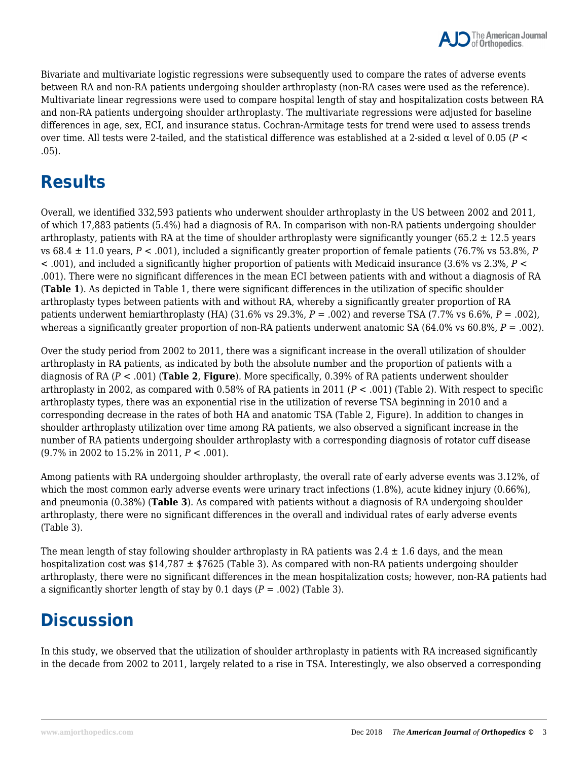Bivariate and multivariate logistic regressions were subsequently used to compare the rates of adverse events between RA and non-RA patients undergoing shoulder arthroplasty (non-RA cases were used as the reference). Multivariate linear regressions were used to compare hospital length of stay and hospitalization costs between RA and non-RA patients undergoing shoulder arthroplasty. The multivariate regressions were adjusted for baseline differences in age, sex, ECI, and insurance status. Cochran-Armitage tests for trend were used to assess trends over time. All tests were 2-tailed, and the statistical difference was established at a 2-sided α level of 0.05 (*P* < .05).

### **Results**

Overall, we identified 332,593 patients who underwent shoulder arthroplasty in the US between 2002 and 2011, of which 17,883 patients (5.4%) had a diagnosis of RA. In comparison with non-RA patients undergoing shoulder arthroplasty, patients with RA at the time of shoulder arthroplasty were significantly younger (65.2  $\pm$  12.5 years vs 68.4 ± 11.0 years, *P* < .001), included a significantly greater proportion of female patients (76.7% vs 53.8%, *P* < .001), and included a significantly higher proportion of patients with Medicaid insurance (3.6% vs 2.3%, *P* < .001). There were no significant differences in the mean ECI between patients with and without a diagnosis of RA (**Table 1**). As depicted in Table 1, there were significant differences in the utilization of specific shoulder arthroplasty types between patients with and without RA, whereby a significantly greater proportion of RA patients underwent hemiarthroplasty (HA) (31.6% vs 29.3%, *P* = .002) and reverse TSA (7.7% vs 6.6%, *P* = .002), whereas a significantly greater proportion of non-RA patients underwent anatomic SA (64.0% vs 60.8%,  $P = .002$ ).

Over the study period from 2002 to 2011, there was a significant increase in the overall utilization of shoulder arthroplasty in RA patients, as indicated by both the absolute number and the proportion of patients with a diagnosis of RA (*P* < .001) (**Table 2**, **Figure**). More specifically, 0.39% of RA patients underwent shoulder arthroplasty in 2002, as compared with 0.58% of RA patients in 2011 (*P* < .001) (Table 2). With respect to specific arthroplasty types, there was an exponential rise in the utilization of reverse TSA beginning in 2010 and a corresponding decrease in the rates of both HA and anatomic TSA (Table 2, Figure). In addition to changes in shoulder arthroplasty utilization over time among RA patients, we also observed a significant increase in the number of RA patients undergoing shoulder arthroplasty with a corresponding diagnosis of rotator cuff disease (9.7% in 2002 to 15.2% in 2011, *P* < .001).

Among patients with RA undergoing shoulder arthroplasty, the overall rate of early adverse events was 3.12%, of which the most common early adverse events were urinary tract infections  $(1.8\%)$ , acute kidney injury  $(0.66\%)$ , and pneumonia (0.38%) (**Table 3**). As compared with patients without a diagnosis of RA undergoing shoulder arthroplasty, there were no significant differences in the overall and individual rates of early adverse events (Table 3).

The mean length of stay following shoulder arthroplasty in RA patients was  $2.4 \pm 1.6$  days, and the mean hospitalization cost was  $$14,787 \pm $7625$  (Table 3). As compared with non-RA patients undergoing shoulder arthroplasty, there were no significant differences in the mean hospitalization costs; however, non-RA patients had a significantly shorter length of stay by  $0.1$  days ( $P = .002$ ) (Table 3).

## **Discussion**

In this study, we observed that the utilization of shoulder arthroplasty in patients with RA increased significantly in the decade from 2002 to 2011, largely related to a rise in TSA. Interestingly, we also observed a corresponding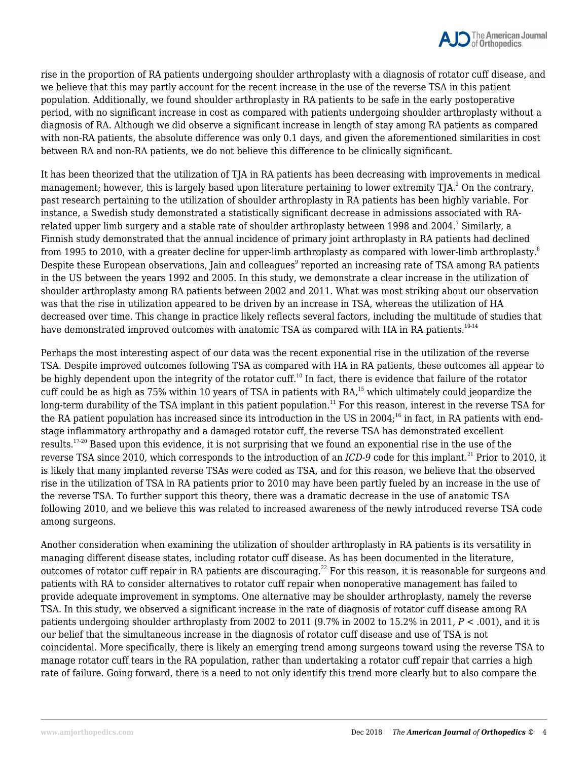

rise in the proportion of RA patients undergoing shoulder arthroplasty with a diagnosis of rotator cuff disease, and we believe that this may partly account for the recent increase in the use of the reverse TSA in this patient population. Additionally, we found shoulder arthroplasty in RA patients to be safe in the early postoperative period, with no significant increase in cost as compared with patients undergoing shoulder arthroplasty without a diagnosis of RA. Although we did observe a significant increase in length of stay among RA patients as compared with non-RA patients, the absolute difference was only 0.1 days, and given the aforementioned similarities in cost between RA and non-RA patients, we do not believe this difference to be clinically significant.

It has been theorized that the utilization of TJA in RA patients has been decreasing with improvements in medical management; however, this is largely based upon literature pertaining to lower extremity TJA. $^2$  On the contrary, past research pertaining to the utilization of shoulder arthroplasty in RA patients has been highly variable. For instance, a Swedish study demonstrated a statistically significant decrease in admissions associated with RArelated upper limb surgery and a stable rate of shoulder arthroplasty between 1998 and 2004. $^{\prime}$  Similarly, a Finnish study demonstrated that the annual incidence of primary joint arthroplasty in RA patients had declined from 1995 to 2010, with a greater decline for upper-limb arthroplasty as compared with lower-limb arthroplasty.<sup>8</sup> Despite these European observations, Jain and colleagues $^{\circ}$  reported an increasing rate of TSA among RA patients in the US between the years 1992 and 2005. In this study, we demonstrate a clear increase in the utilization of shoulder arthroplasty among RA patients between 2002 and 2011. What was most striking about our observation was that the rise in utilization appeared to be driven by an increase in TSA, whereas the utilization of HA decreased over time. This change in practice likely reflects several factors, including the multitude of studies that have demonstrated improved outcomes with anatomic TSA as compared with HA in RA patients.<sup>10-14</sup>

Perhaps the most interesting aspect of our data was the recent exponential rise in the utilization of the reverse TSA. Despite improved outcomes following TSA as compared with HA in RA patients, these outcomes all appear to be highly dependent upon the integrity of the rotator cuff.<sup>10</sup> In fact, there is evidence that failure of the rotator cuff could be as high as 75% within 10 years of TSA in patients with RA,<sup>15</sup> which ultimately could jeopardize the long-term durability of the TSA implant in this patient population.<sup>11</sup> For this reason, interest in the reverse TSA for the RA patient population has increased since its introduction in the US in 2004;<sup>16</sup> in fact, in RA patients with endstage inflammatory arthropathy and a damaged rotator cuff, the reverse TSA has demonstrated excellent results.17-20 Based upon this evidence, it is not surprising that we found an exponential rise in the use of the reverse TSA since 2010, which corresponds to the introduction of an *ICD-9* code for this implant.<sup>21</sup> Prior to 2010, it is likely that many implanted reverse TSAs were coded as TSA, and for this reason, we believe that the observed rise in the utilization of TSA in RA patients prior to 2010 may have been partly fueled by an increase in the use of the reverse TSA. To further support this theory, there was a dramatic decrease in the use of anatomic TSA following 2010, and we believe this was related to increased awareness of the newly introduced reverse TSA code among surgeons.

Another consideration when examining the utilization of shoulder arthroplasty in RA patients is its versatility in managing different disease states, including rotator cuff disease. As has been documented in the literature, outcomes of rotator cuff repair in RA patients are discouraging.<sup>22</sup> For this reason, it is reasonable for surgeons and patients with RA to consider alternatives to rotator cuff repair when nonoperative management has failed to provide adequate improvement in symptoms. One alternative may be shoulder arthroplasty, namely the reverse TSA. In this study, we observed a significant increase in the rate of diagnosis of rotator cuff disease among RA patients undergoing shoulder arthroplasty from 2002 to 2011 (9.7% in 2002 to 15.2% in 2011, *P* < .001), and it is our belief that the simultaneous increase in the diagnosis of rotator cuff disease and use of TSA is not coincidental. More specifically, there is likely an emerging trend among surgeons toward using the reverse TSA to manage rotator cuff tears in the RA population, rather than undertaking a rotator cuff repair that carries a high rate of failure. Going forward, there is a need to not only identify this trend more clearly but to also compare the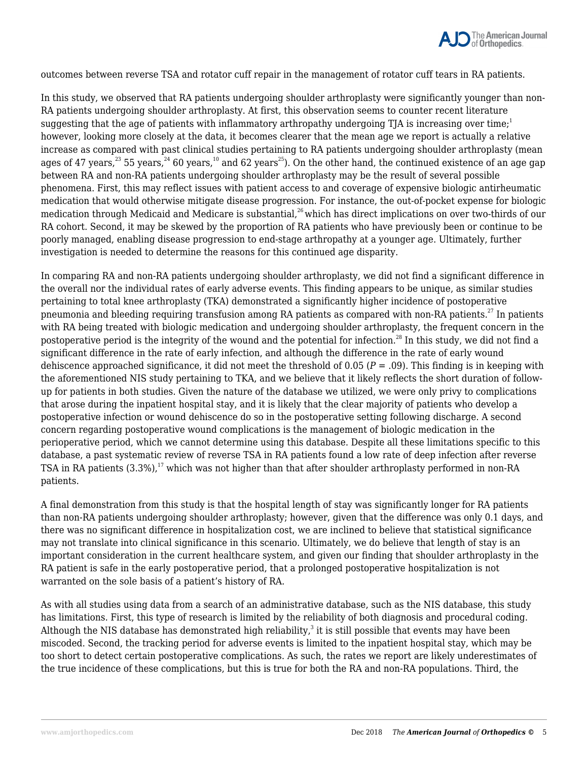

outcomes between reverse TSA and rotator cuff repair in the management of rotator cuff tears in RA patients.

In this study, we observed that RA patients undergoing shoulder arthroplasty were significantly younger than non-RA patients undergoing shoulder arthroplasty. At first, this observation seems to counter recent literature suggesting that the age of patients with inflammatory arthropathy undergoing TJA is increasing over time;<sup>1</sup> however, looking more closely at the data, it becomes clearer that the mean age we report is actually a relative increase as compared with past clinical studies pertaining to RA patients undergoing shoulder arthroplasty (mean ages of 47 years,  $23$  55 years,  $24$  60 years,  $10$  and 62 years<sup>25</sup>). On the other hand, the continued existence of an age gap between RA and non-RA patients undergoing shoulder arthroplasty may be the result of several possible phenomena. First, this may reflect issues with patient access to and coverage of expensive biologic antirheumatic medication that would otherwise mitigate disease progression. For instance, the out-of-pocket expense for biologic medication through Medicaid and Medicare is substantial,<sup>26</sup> which has direct implications on over two-thirds of our RA cohort. Second, it may be skewed by the proportion of RA patients who have previously been or continue to be poorly managed, enabling disease progression to end-stage arthropathy at a younger age. Ultimately, further investigation is needed to determine the reasons for this continued age disparity.

In comparing RA and non-RA patients undergoing shoulder arthroplasty, we did not find a significant difference in the overall nor the individual rates of early adverse events. This finding appears to be unique, as similar studies pertaining to total knee arthroplasty (TKA) demonstrated a significantly higher incidence of postoperative pneumonia and bleeding requiring transfusion among RA patients as compared with non-RA patients.<sup>27</sup> In patients with RA being treated with biologic medication and undergoing shoulder arthroplasty, the frequent concern in the postoperative period is the integrity of the wound and the potential for infection.<sup>28</sup> In this study, we did not find a significant difference in the rate of early infection, and although the difference in the rate of early wound dehiscence approached significance, it did not meet the threshold of 0.05 (*P* = .09). This finding is in keeping with the aforementioned NIS study pertaining to TKA, and we believe that it likely reflects the short duration of followup for patients in both studies. Given the nature of the database we utilized, we were only privy to complications that arose during the inpatient hospital stay, and it is likely that the clear majority of patients who develop a postoperative infection or wound dehiscence do so in the postoperative setting following discharge. A second concern regarding postoperative wound complications is the management of biologic medication in the perioperative period, which we cannot determine using this database. Despite all these limitations specific to this database, a past systematic review of reverse TSA in RA patients found a low rate of deep infection after reverse TSA in RA patients  $(3.3\%)$ ,<sup>17</sup> which was not higher than that after shoulder arthroplasty performed in non-RA patients.

A final demonstration from this study is that the hospital length of stay was significantly longer for RA patients than non-RA patients undergoing shoulder arthroplasty; however, given that the difference was only 0.1 days, and there was no significant difference in hospitalization cost, we are inclined to believe that statistical significance may not translate into clinical significance in this scenario. Ultimately, we do believe that length of stay is an important consideration in the current healthcare system, and given our finding that shoulder arthroplasty in the RA patient is safe in the early postoperative period, that a prolonged postoperative hospitalization is not warranted on the sole basis of a patient's history of RA.

As with all studies using data from a search of an administrative database, such as the NIS database, this study has limitations. First, this type of research is limited by the reliability of both diagnosis and procedural coding. Although the NIS database has demonstrated high reliability, $^3$  it is still possible that events may have been miscoded. Second, the tracking period for adverse events is limited to the inpatient hospital stay, which may be too short to detect certain postoperative complications. As such, the rates we report are likely underestimates of the true incidence of these complications, but this is true for both the RA and non-RA populations. Third, the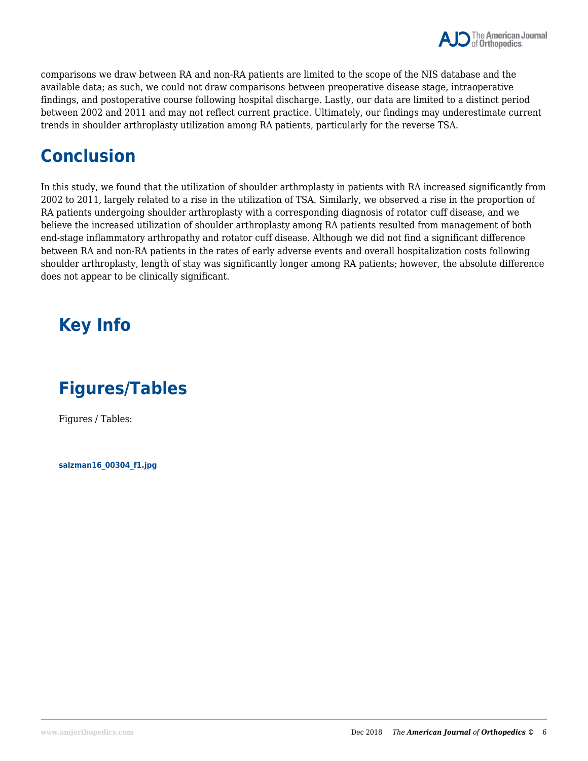

comparisons we draw between RA and non-RA patients are limited to the scope of the NIS database and the available data; as such, we could not draw comparisons between preoperative disease stage, intraoperative findings, and postoperative course following hospital discharge. Lastly, our data are limited to a distinct period between 2002 and 2011 and may not reflect current practice. Ultimately, our findings may underestimate current trends in shoulder arthroplasty utilization among RA patients, particularly for the reverse TSA.

### **Conclusion**

In this study, we found that the utilization of shoulder arthroplasty in patients with RA increased significantly from 2002 to 2011, largely related to a rise in the utilization of TSA. Similarly, we observed a rise in the proportion of RA patients undergoing shoulder arthroplasty with a corresponding diagnosis of rotator cuff disease, and we believe the increased utilization of shoulder arthroplasty among RA patients resulted from management of both end-stage inflammatory arthropathy and rotator cuff disease. Although we did not find a significant difference between RA and non-RA patients in the rates of early adverse events and overall hospitalization costs following shoulder arthroplasty, length of stay was significantly longer among RA patients; however, the absolute difference does not appear to be clinically significant.

## **Key Info**

### **Figures/Tables**

Figures / Tables:

**salzman16\_00304\_f1.jpg**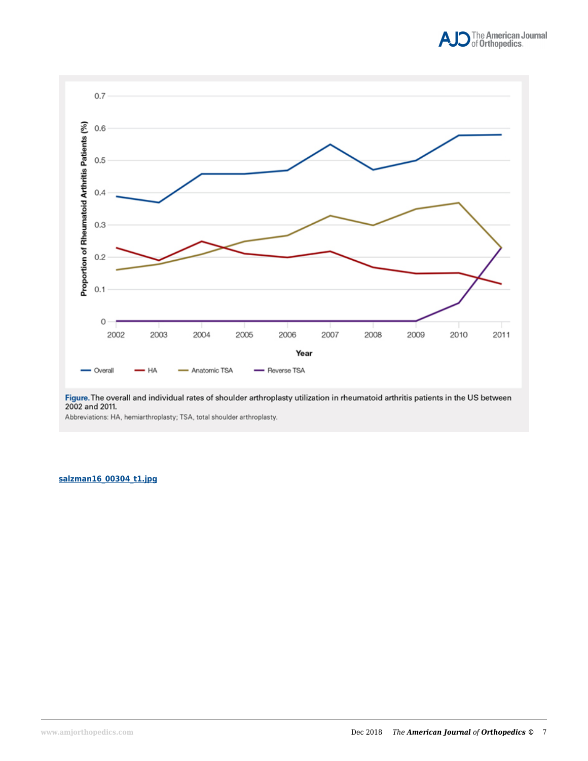



Figure. The overall and individual rates of shoulder arthroplasty utilization in rheumatoid arthritis patients in the US between 2002 and 2011.

Abbreviations: HA, hemiarthroplasty; TSA, total shoulder arthroplasty.

#### **salzman16\_00304\_t1.jpg**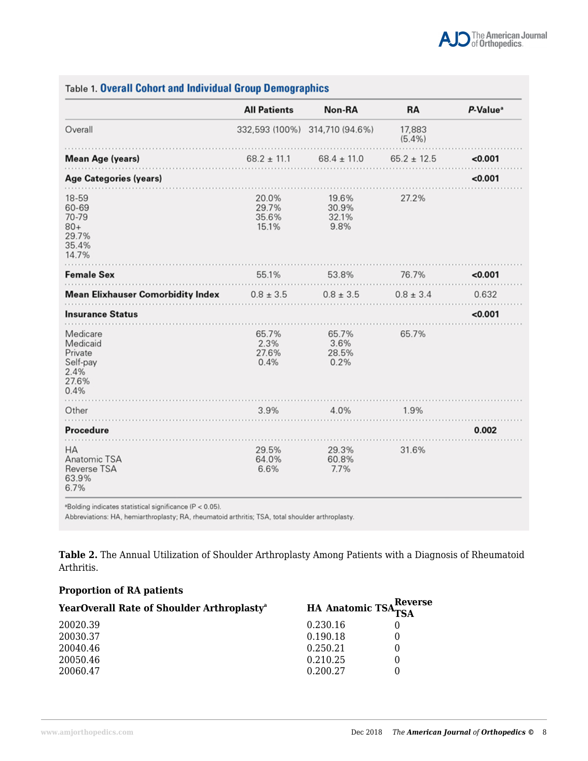|                                                                      | <b>All Patients</b>              | Non-RA                          | RA                  | P-Value <sup>a</sup> |
|----------------------------------------------------------------------|----------------------------------|---------------------------------|---------------------|----------------------|
| Overall                                                              |                                  | 332,593 (100%) 314,710 (94.6%)  | 17,883<br>$(5.4\%)$ |                      |
| <b>Mean Age (years)</b>                                              | $68.2 \pm 11.1$                  | $68.4 \pm 11.0$                 | $65.2 \pm 12.5$     | < 0.001              |
| <b>Age Categories (years)</b>                                        |                                  |                                 |                     | < 0.001              |
| 18-59<br>60-69<br>70-79<br>$80+$<br>29.7%<br>35.4%<br>14.7%          | 20.0%<br>29.7%<br>35.6%<br>15.1% | 19.6%<br>30.9%<br>32.1%<br>9.8% | 27.2%               |                      |
| <b>Female Sex</b>                                                    | 55.1%                            | 53.8%                           | 76.7%               | 0.001                |
| <b>Mean Elixhauser Comorbidity Index</b>                             | $0.8 \pm 3.5$                    | $0.8 \pm 3.5$                   | $0.8 \pm 3.4$       | 0.632                |
| <b>Insurance Status</b>                                              |                                  |                                 |                     | 0.001                |
| Medicare<br>Medicaid<br>Private<br>Self-pay<br>2.4%<br>27.6%<br>0.4% | 65.7%<br>2.3%<br>27.6%<br>0.4%   | 65.7%<br>3.6%<br>28.5%<br>0.2%  | 65.7%               |                      |
| Other                                                                | 3.9%                             | 4.0%                            | 1.9%                |                      |
| Procedure                                                            |                                  |                                 |                     | 0.002                |
| HA<br>Anatomic TSA<br>Reverse TSA<br>63.9%<br>6.7%                   | 29.5%<br>64.0%<br>6.6%           | 29.3%<br>60.8%<br>7.7%          | 31.6%               |                      |

**Table 1. Overall Cohort and Individual Group Demographics** 

<sup>a</sup>Bolding indicates statistical significance (P < 0.05).

Abbreviations: HA, hemiarthroplasty; RA, rheumatoid arthritis; TSA, total shoulder arthroplasty.

**Table 2.** The Annual Utilization of Shoulder Arthroplasty Among Patients with a Diagnosis of Rheumatoid Arthritis.

#### **Proportion of RA patients**

| YearOverall Rate of Shoulder Arthroplasty <sup>a</sup> | <b>HA Anatomic TSA</b> Reverse |  |
|--------------------------------------------------------|--------------------------------|--|
| 20020.39                                               | 0.230.16                       |  |
| 20030.37                                               | 0.190.18                       |  |
| 20040.46                                               | 0.250.21                       |  |
| 20050.46                                               | 0.210.25                       |  |
| 20060.47                                               | 0.200.27                       |  |
|                                                        |                                |  |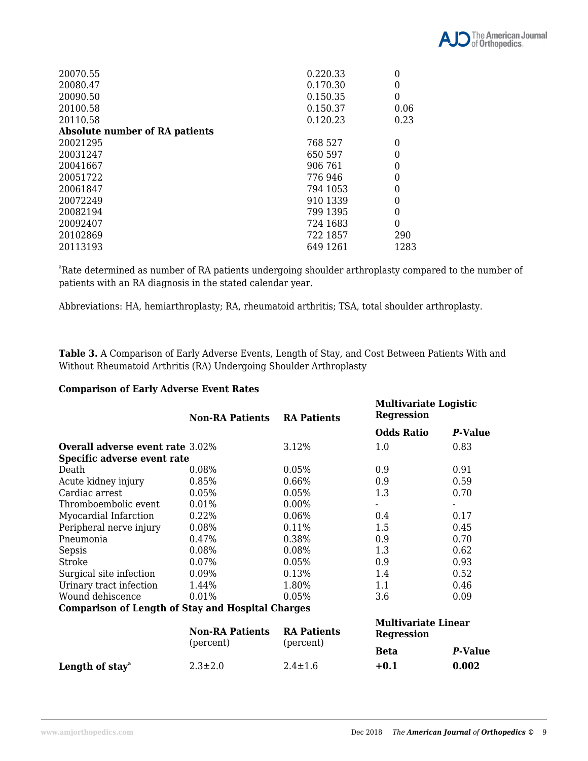

| 20070.55                              | 0.220.33 |          |
|---------------------------------------|----------|----------|
| 20080.47                              | 0.170.30 | 0        |
| 20090.50                              | 0.150.35 | $\theta$ |
| 20100.58                              | 0.150.37 | 0.06     |
| 20110.58                              | 0.120.23 | 0.23     |
| <b>Absolute number of RA patients</b> |          |          |
| 20021295                              | 768 527  | 0        |
| 20031247                              | 650 597  | 0        |
| 20041667                              | 906 761  | $\theta$ |
| 20051722                              | 776946   | $\Omega$ |
| 20061847                              | 794 1053 | 0        |
| 20072249                              | 910 1339 | $\theta$ |
| 20082194                              | 799 1395 | $\Omega$ |
| 20092407                              | 724 1683 | $\theta$ |
| 20102869                              | 722 1857 | 290      |
| 20113193                              | 649 1261 | 1283     |

<sup>a</sup>Rate determined as number of RA patients undergoing shoulder arthroplasty compared to the number of patients with an RA diagnosis in the stated calendar year.

Abbreviations: HA, hemiarthroplasty; RA, rheumatoid arthritis; TSA, total shoulder arthroplasty.

**Table 3.** A Comparison of Early Adverse Events, Length of Stay, and Cost Between Patients With and Without Rheumatoid Arthritis (RA) Undergoing Shoulder Arthroplasty

#### **Comparison of Early Adverse Event Rates**

|                                                          | <b>Non-RA Patients</b>              | <b>RA Patients</b> | <b>Multivariate Logistic</b><br><b>Regression</b> |                |
|----------------------------------------------------------|-------------------------------------|--------------------|---------------------------------------------------|----------------|
|                                                          |                                     |                    | <b>Odds Ratio</b>                                 | <b>P-Value</b> |
| <b>Overall adverse event rate 3.02%</b>                  |                                     | 3.12%              | 1.0                                               | 0.83           |
| Specific adverse event rate                              |                                     |                    |                                                   |                |
| Death                                                    | 0.08%                               | 0.05%              | 0.9                                               | 0.91           |
| Acute kidney injury                                      | 0.85%                               | 0.66%              | 0.9                                               | 0.59           |
| Cardiac arrest                                           | 0.05%                               | 0.05%              | 1.3                                               | 0.70           |
| Thromboembolic event                                     | 0.01%                               | 0.00%              |                                                   |                |
| Myocardial Infarction                                    | 0.22%                               | 0.06%              | 0.4                                               | 0.17           |
| Peripheral nerve injury                                  | 0.08%                               | 0.11%              | 1.5                                               | 0.45           |
| Pneumonia                                                | 0.47%                               | 0.38%              | 0.9                                               | 0.70           |
| Sepsis                                                   | 0.08%                               | 0.08%              | 1.3                                               | 0.62           |
| Stroke                                                   | 0.07%                               | 0.05%              | 0.9                                               | 0.93           |
| Surgical site infection                                  | 0.09%                               | 0.13%              | 1.4                                               | 0.52           |
| Urinary tract infection                                  | 1.44%                               | 1.80%              | 1.1                                               | 0.46           |
| Wound dehiscence                                         | 0.01%                               | 0.05%              | 3.6                                               | 0.09           |
| <b>Comparison of Length of Stay and Hospital Charges</b> |                                     |                    |                                                   |                |
|                                                          | <b>Non-RA Patients</b><br>(percent) | <b>RA Patients</b> | <b>Multivariate Linear</b><br><b>Regression</b>   |                |
|                                                          |                                     | (percent)          | <b>Beta</b>                                       | P-Value        |
| Length of stay <sup>a</sup>                              | $2.3 \pm 2.0$                       | $2.4 \pm 1.6$      | $+0.1$                                            | 0.002          |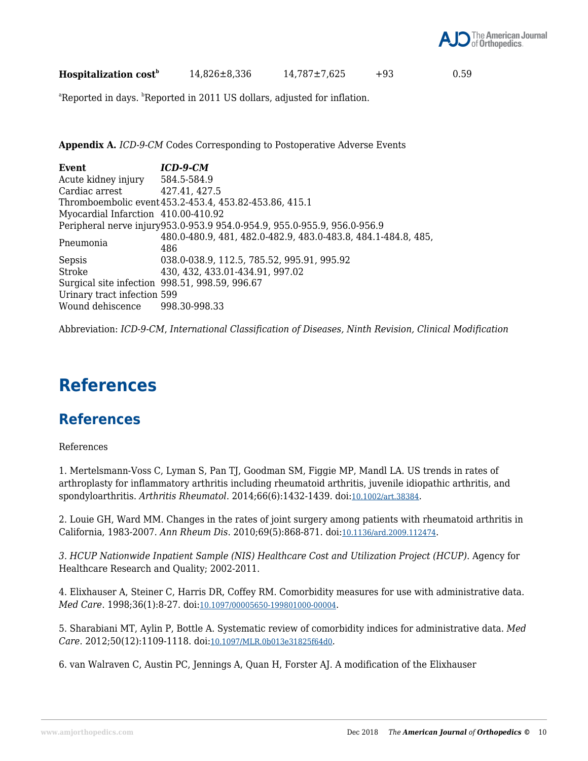

**Hospitalization cost<sup>b</sup>** 14,826±8,336 14,787±7,625 +93 0.59

<sup>a</sup>Reported in days. <sup>b</sup>Reported in 2011 US dollars, adjusted for inflation.

**Appendix A.** *ICD-9-CM* Codes Corresponding to Postoperative Adverse Events

| Event                               | $ICD-9-CM$                                                               |
|-------------------------------------|--------------------------------------------------------------------------|
| Acute kidney injury                 | 584.5-584.9                                                              |
| Cardiac arrest 427.41, 427.5        |                                                                          |
|                                     | Thromboembolic event 453.2-453.4, 453.82-453.86, 415.1                   |
| Myocardial Infarction 410.00-410.92 |                                                                          |
|                                     | Peripheral nerve injury953.0-953.9 954.0-954.9, 955.0-955.9, 956.0-956.9 |
| Pneumonia                           | 480.0-480.9, 481, 482.0-482.9, 483.0-483.8, 484.1-484.8, 485,            |
|                                     | 486                                                                      |
| Sepsis                              | 038.0-038.9, 112.5, 785.52, 995.91, 995.92                               |
| Stroke                              | 430, 432, 433.01-434.91, 997.02                                          |
|                                     | Surgical site infection 998.51, 998.59, 996.67                           |
| Urinary tract infection 599         |                                                                          |
| Wound dehiscence 998.30-998.33      |                                                                          |

Abbreviation: *ICD-9-CM*, *International Classification of Diseases, Ninth Revision, Clinical Modification*

### **References**

### **References**

References

1. Mertelsmann-Voss C, Lyman S, Pan TJ, Goodman SM, Figgie MP, Mandl LA. US trends in rates of arthroplasty for inflammatory arthritis including rheumatoid arthritis, juvenile idiopathic arthritis, and spondyloarthritis. *Arthritis Rheumatol*. 2014;66(6):1432-1439. doi:10.1002/art.38384.

2. Louie GH, Ward MM. Changes in the rates of joint surgery among patients with rheumatoid arthritis in California, 1983-2007. *Ann Rheum Dis*. 2010;69(5):868-871. doi:10.1136/ard.2009.112474.

*3. HCUP Nationwide Inpatient Sample (NIS) Healthcare Cost and Utilization Project (HCUP)*. Agency for Healthcare Research and Quality; 2002-2011.

4. Elixhauser A, Steiner C, Harris DR, Coffey RM. Comorbidity measures for use with administrative data. *Med Care*. 1998;36(1):8-27. doi:10.1097/00005650-199801000-00004.

5. Sharabiani MT, Aylin P, Bottle A. Systematic review of comorbidity indices for administrative data. *Med Care*. 2012;50(12):1109-1118. doi:10.1097/MLR.0b013e31825f64d0.

6. van Walraven C, Austin PC, Jennings A, Quan H, Forster AJ. A modification of the Elixhauser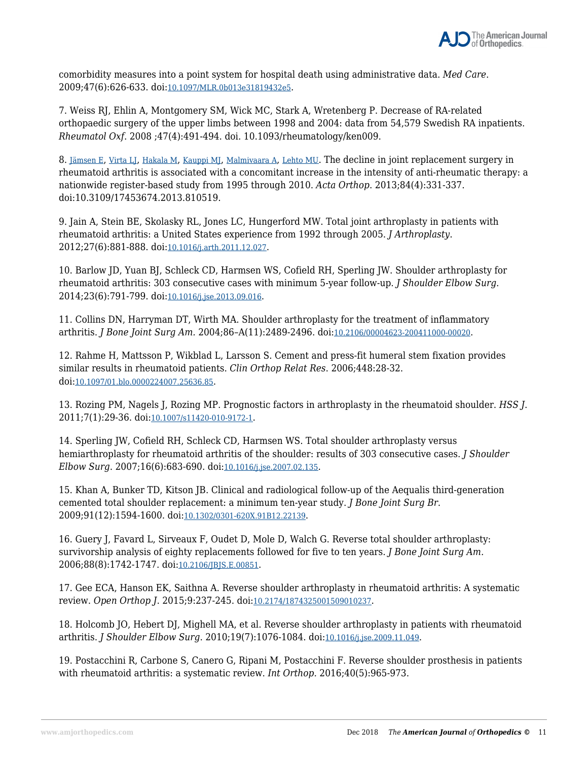

comorbidity measures into a point system for hospital death using administrative data. *Med Care*. 2009;47(6):626-633. doi:10.1097/MLR.0b013e31819432e5.

7. Weiss RJ, Ehlin A, Montgomery SM, Wick MC, Stark A, Wretenberg P. Decrease of RA-related orthopaedic surgery of the upper limbs between 1998 and 2004: data from 54,579 Swedish RA inpatients. *Rheumatol Oxf*. 2008 ;47(4):491-494. doi. 10.1093/rheumatology/ken009.

8. Jämsen E, Virta LJ, Hakala M, Kauppi MJ, Malmivaara A, Lehto MU. The decline in joint replacement surgery in rheumatoid arthritis is associated with a concomitant increase in the intensity of anti-rheumatic therapy: a nationwide register-based study from 1995 through 2010. *Acta Orthop*. 2013;84(4):331-337. doi:10.3109/17453674.2013.810519.

9. Jain A, Stein BE, Skolasky RL, Jones LC, Hungerford MW. Total joint arthroplasty in patients with rheumatoid arthritis: a United States experience from 1992 through 2005. *J Arthroplasty*. 2012;27(6):881-888. doi:10.1016/j.arth.2011.12.027.

10. Barlow JD, Yuan BJ, Schleck CD, Harmsen WS, Cofield RH, Sperling JW. Shoulder arthroplasty for rheumatoid arthritis: 303 consecutive cases with minimum 5-year follow-up. *J Shoulder Elbow Surg*. 2014;23(6):791-799. doi:10.1016/j.jse.2013.09.016.

11. Collins DN, Harryman DT, Wirth MA. Shoulder arthroplasty for the treatment of inflammatory arthritis. *J Bone Joint Surg Am.* 2004;86–A(11):2489-2496. doi:10.2106/00004623-200411000-00020.

12. Rahme H, Mattsson P, Wikblad L, Larsson S. Cement and press-fit humeral stem fixation provides similar results in rheumatoid patients. *Clin Orthop Relat Res*. 2006;448:28-32. doi:10.1097/01.blo.0000224007.25636.85.

13. Rozing PM, Nagels J, Rozing MP. Prognostic factors in arthroplasty in the rheumatoid shoulder. *HSS J*. 2011;7(1):29-36. doi:10.1007/s11420-010-9172-1.

14. Sperling JW, Cofield RH, Schleck CD, Harmsen WS. Total shoulder arthroplasty versus hemiarthroplasty for rheumatoid arthritis of the shoulder: results of 303 consecutive cases. *J Shoulder Elbow Surg*. 2007;16(6):683-690. doi:10.1016/j.jse.2007.02.135.

15. Khan A, Bunker TD, Kitson JB. Clinical and radiological follow-up of the Aequalis third-generation cemented total shoulder replacement: a minimum ten-year study. *J Bone Joint Surg Br*. 2009;91(12):1594-1600. doi:10.1302/0301-620X.91B12.22139.

16. Guery J, Favard L, Sirveaux F, Oudet D, Mole D, Walch G. Reverse total shoulder arthroplasty: survivorship analysis of eighty replacements followed for five to ten years. *J Bone Joint Surg Am.* 2006;88(8):1742-1747. doi:10.2106/JBJS.E.00851.

17. Gee ECA, Hanson EK, Saithna A. Reverse shoulder arthroplasty in rheumatoid arthritis: A systematic review. *Open Orthop J*. 2015;9:237-245. doi:10.2174/1874325001509010237.

18. Holcomb JO, Hebert DJ, Mighell MA, et al. Reverse shoulder arthroplasty in patients with rheumatoid arthritis. *J Shoulder Elbow Surg*. 2010;19(7):1076-1084. doi:10.1016/j.jse.2009.11.049.

19. Postacchini R, Carbone S, Canero G, Ripani M, Postacchini F. Reverse shoulder prosthesis in patients with rheumatoid arthritis: a systematic review. *Int Orthop.* 2016;40(5):965-973.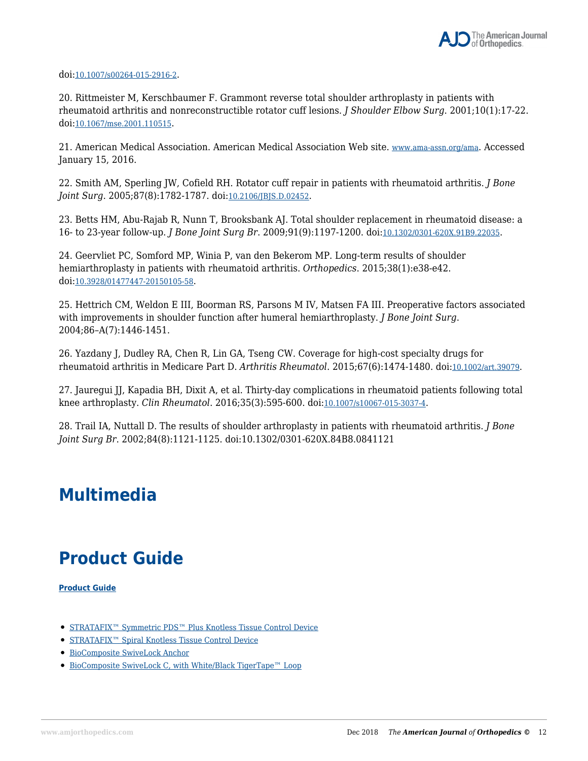doi:10.1007/s00264-015-2916-2.

20. Rittmeister M, Kerschbaumer F. Grammont reverse total shoulder arthroplasty in patients with rheumatoid arthritis and nonreconstructible rotator cuff lesions. *J Shoulder Elbow Surg*. 2001;10(1):17-22. doi:10.1067/mse.2001.110515.

21. American Medical Association. American Medical Association Web site. www.ama-assn.org/ama. Accessed January 15, 2016.

22. Smith AM, Sperling JW, Cofield RH. Rotator cuff repair in patients with rheumatoid arthritis. *J Bone Joint Surg*. 2005;87(8):1782-1787. doi:10.2106/JBJS.D.02452.

23. Betts HM, Abu-Rajab R, Nunn T, Brooksbank AJ. Total shoulder replacement in rheumatoid disease: a 16- to 23-year follow-up. *J Bone Joint Surg Br*. 2009;91(9):1197-1200. doi:10.1302/0301-620X.91B9.22035.

24. Geervliet PC, Somford MP, Winia P, van den Bekerom MP. Long-term results of shoulder hemiarthroplasty in patients with rheumatoid arthritis. *Orthopedics*. 2015;38(1):e38-e42. doi:10.3928/01477447-20150105-58.

25. Hettrich CM, Weldon E III, Boorman RS, Parsons M IV, Matsen FA III. Preoperative factors associated with improvements in shoulder function after humeral hemiarthroplasty. *J Bone Joint Surg*. 2004;86–A(7):1446-1451.

26. Yazdany J, Dudley RA, Chen R, Lin GA, Tseng CW. Coverage for high-cost specialty drugs for rheumatoid arthritis in Medicare Part D. *Arthritis Rheumatol*. 2015;67(6):1474-1480. doi:10.1002/art.39079.

27. Jauregui JJ, Kapadia BH, Dixit A, et al. Thirty-day complications in rheumatoid patients following total knee arthroplasty. *Clin Rheumatol*. 2016;35(3):595-600. doi:10.1007/s10067-015-3037-4.

28. Trail IA, Nuttall D. The results of shoulder arthroplasty in patients with rheumatoid arthritis. *J Bone Joint Surg Br*. 2002;84(8):1121-1125. doi:10.1302/0301-620X.84B8.0841121

### **Multimedia**

### **Product Guide**

**Product Guide**

- STRATAFIX™ Symmetric PDS™ Plus Knotless Tissue Control Device
- STRATAFIX<sup>™</sup> Spiral Knotless Tissue Control Device
- BioComposite SwiveLock Anchor
- BioComposite SwiveLock C, with White/Black TigerTape™ Loop